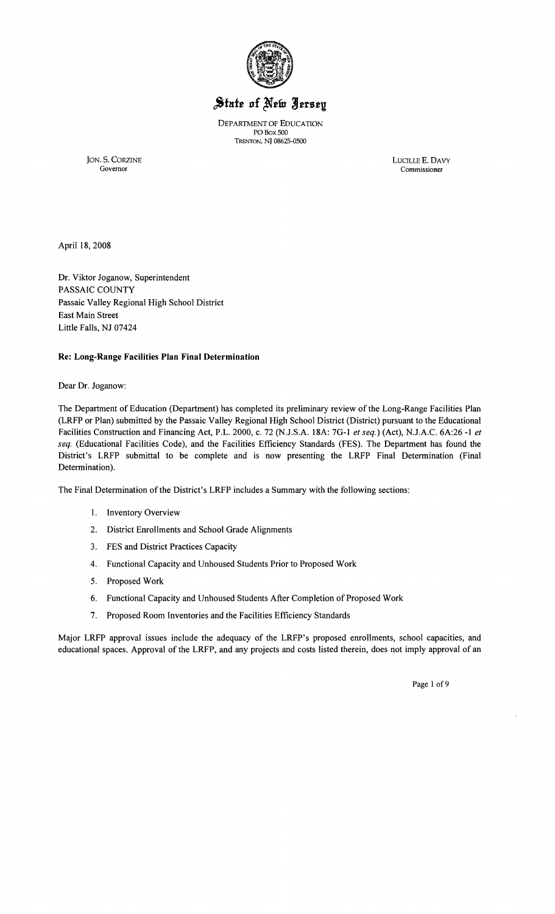

# State of New Jersey

DEPARTMENT OF EDUCATION POBox 500 TRENTON, NJ 08625-0500

JON. S. CORZINE LUCILLE E. DAVY Governor Commissioner

April 18, 2008

Dr. Viktor Joganow, Superintendent PASSAIC COUNTY Passaic Valley Regional High School District East Main Street Little Falls, NJ 07424

#### **Re: Long-Range Facilities Plan Final Determination**

Dear Dr. Joganow:

The Department of Education (Department) has completed its preliminary review of the Long-Range Facilities Plan (LRFP or Plan) submitted by the Passaic Valley Regional High School District (District) pursuant to the Educational Facilities Construction and Financing Act, P.L. 2000, c. 72 (NJ.S.A. 18A: 7G-l *et seq.)* (Act), N.J.A.C. 6A:26 **-1** *et seq.* (Educational Facilities Code), and the Facilities Efficiency Standards (FES). The Department has found the District's LRFP submittal to be complete and is now presenting the LRFP Final Determination (Final Determination).

The Final Determination of the District's LRFP includes a Summary with the following sections:

- 1. Inventory Overview
- 2. District Enrollments and School Grade Alignments
- 3. FES and District Practices Capacity
- 4. Functional Capacity and Unhoused Students Prior to Proposed Work
- 5. Proposed Work
- 6. Functional Capacity and Unhoused Students After Completion of Proposed Work
- 7. Proposed Room Inventories and the Facilities Efficiency Standards

Major LRFP approval issues include the adequacy of the LRFP's proposed enrollments, school capacities, and educational spaces. Approval of the LRFP, and any projects and costs listed therein, does not imply approval of an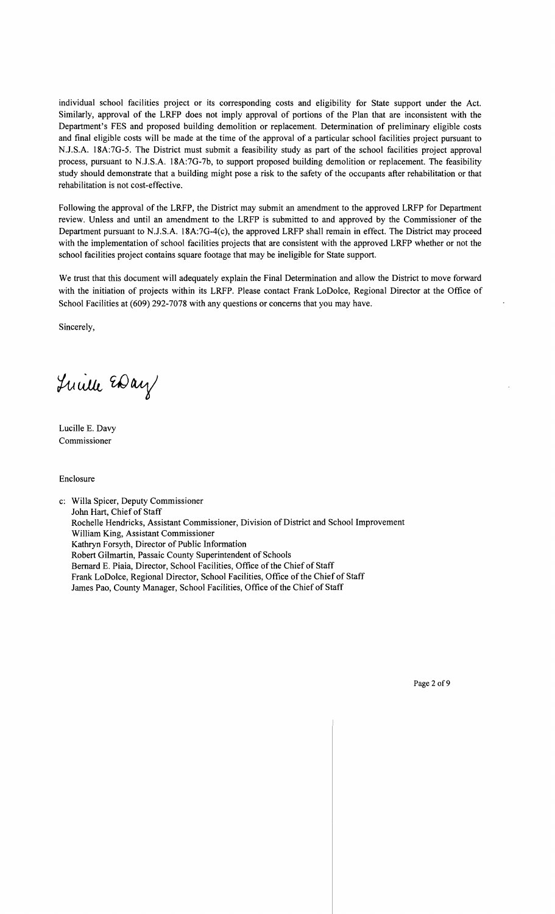individual school facilities project or its corresponding costs and eligibility for State support under the Act. Similarly, approval of the LRFP does not imply approval of portions of the Plan that are inconsistent with the Department's FES and proposed building demolition or replacement. Determination of preliminary eligible costs and final eligible costs will be made at the time of the approval of a particular school facilities project pursuant to N.J.S.A. 18A:7G-5. The District must submit a feasibility study as part of the school facilities project approval process, pursuant to N.J.S.A. 18A:7G-7b, to support proposed building demolition or replacement. The feasibility study should demonstrate that a building might pose a risk to the safety of the occupants after rehabilitation or that rehabilitation is not cost-effective.

Following the approval of the LRFP, the District may submit an amendment to the approved LRFP for Department review. Unless and until an amendment to the LRFP is submitted to and approved by the Commissioner of the Department pursuant to N.J.S.A. 18A:7G-4(c), the approved LRFP shall remain in effect. The District may proceed with the implementation of school facilities projects that are consistent with the approved LRFP whether or not the school facilities project contains square footage that may be ineligible for State support.

We trust that this document will adequately explain the Final Determination and allow the District to move forward with the initiation of projects within its LRFP. Please contact Frank LoDolce, Regional Director at the Office of School Facilities at (609) 292-7078 with any questions or concerns that you may have.

Sincerely,

Luille EDay

Lucille E. Davy Commissioner

Enclosure

c: Willa Spicer, Deputy Commissioner John Hart, Chief of Staff Rochelle Hendricks, Assistant Commissioner, Division of District and School Improvement William King, Assistant Commissioner Kathryn Forsyth, Director of Public Information Robert Gilmartin, Passaic County Superintendent of Schools Bernard E. Piaia, Director, School Facilities, Office of the Chief of Staff Frank LoDolce, Regional Director, School Facilities, Office of the Chief of Staff James Pao, County Manager, School Facilities, Office of the Chief of Staff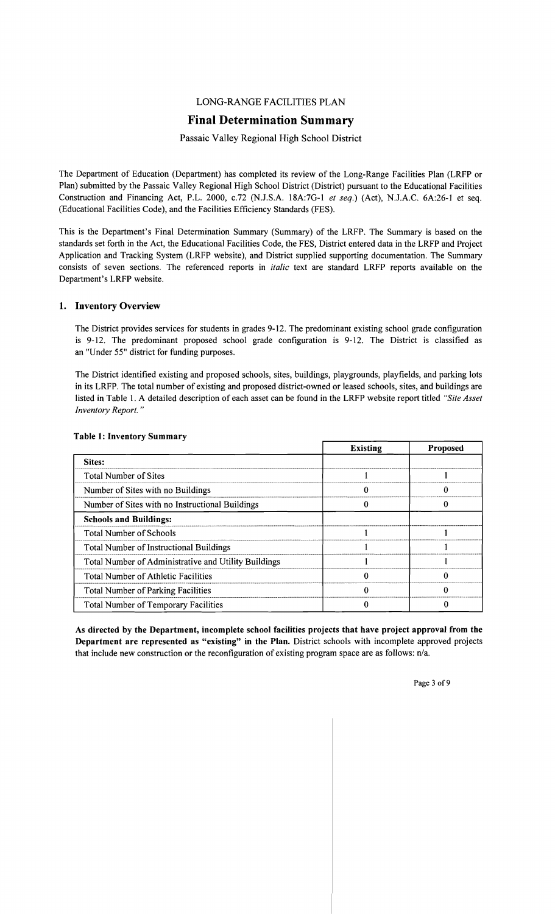## LONG-RANGE FACILITIES PLAN

## **Final Determination Summary**

#### Passaic Valley Regional High School District

The Department of Education (Department) has completed its review of the Long-Range Facilities Plan (LRFP or Plan) submitted by the Passaic Valley Regional High School District (District) pursuant to the Educational Facilities Construction and Financing Act, P.L. 2000, c.72 (N.J.S.A. 18A:7G-1 *et seq.)* (Act), N.J.A.C. 6A:26-1 et seq. (Educational Facilities Code), and the Facilities Efficiency Standards (FES).

This is the Department's Final Determination Summary (Summary) of the LRFP. The Summary is based on the standards set forth in the Act, the Educational Facilities Code, the FES, District entered data in the LRFP and Project Application and Tracking System (LRFP website), and District supplied supporting documentation. The Summary consists of seven sections. The referenced reports in *italic* text are standard LRFP reports available on the Department's LRFP website.

#### 1. Inventory Overview

The District provides services for students in grades 9-12. The predominant existing school grade configuration is 9-12. The predominant proposed school grade configuration is 9-12. The District is classified as an "Under 55" district for funding purposes.

The District identified existing and proposed schools, sites, buildings, playgrounds, playfields, and parking lots in its LRFP. The total number of existing and proposed district-owned or leased schools, sites, and buildings are listed in Table 1. A detailed description of each asset can be found in the LRFP website report titled *"Site Asset Inventory Report. "* 

|                                                      | <b>Existing</b> | <b>Proposed</b> |
|------------------------------------------------------|-----------------|-----------------|
| Sites:                                               |                 |                 |
| <b>Total Number of Sites</b>                         |                 |                 |
| Number of Sites with no Buildings                    |                 |                 |
| Number of Sites with no Instructional Buildings      |                 |                 |
| <b>Schools and Buildings:</b>                        |                 |                 |
| <b>Total Number of Schools</b>                       |                 |                 |
| <b>Total Number of Instructional Buildings</b>       |                 |                 |
| Total Number of Administrative and Utility Buildings |                 |                 |
| <b>Total Number of Athletic Facilities</b>           |                 |                 |
| <b>Total Number of Parking Facilities</b>            |                 |                 |
| <b>Total Number of Temporary Facilities</b>          |                 |                 |

#### Table 1: Inventory Summary

As directed by the Department, incomplete school facilities projects that have project approval from the Department are represented as "existing" in the Plan. District schools with incomplete approved projects that include new construction or the reconfiguration of existing program space are as follows: n/a.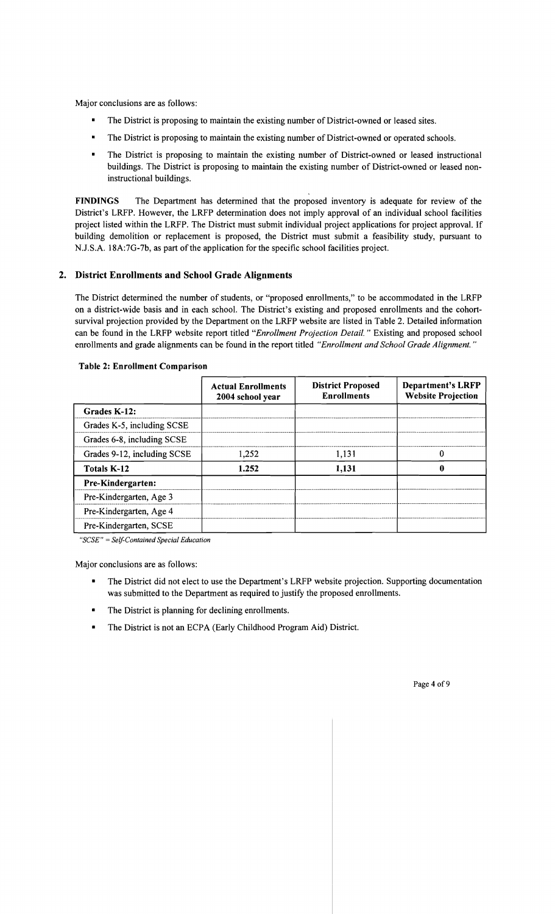Major conclusions are as follows:

- The District is proposing to maintain the existing number of District-owned or leased sites.
- The District is proposing to maintain the existing number of District-owned or operated schools.
- The District is proposing to maintain the existing number of District-owned or leased instructional buildings. The District is proposing to maintain the existing number of District-owned or leased noninstructional buildings.

FINDINGS The Department has determined that the proposed inventory is adequate for review of the District's LRFP. However, the LRFP determination does not imply approval of an individual school facilities project listed within the LRFP. The District must submit individual project applications for project approval. If building demolition or replacement is proposed, the District must submit a feasibility study, pursuant to N.J.S.A. 18A:7G-7b, as part of the application for the specific school facilities project.

## 2. District Enrollments and School Grade Alignments

The District determined the number of students, or "proposed enrollments," to be accommodated in the LRFP on a district-wide basis and in each school. The District's existing and proposed enrollments and the cohortsurvival projection provided by the Department on the LRFP website are listed in Table 2. Detailed information can be found in the LRFP website report titled *"Enrollment Projection Detail.* " Existing and proposed school enrollments and grade alignments can be found in the report titled *"Enrollment and School Grade Alignment. "* 

|                             | <b>Actual Enrollments</b><br>2004 school year | <b>District Proposed</b><br><b>Enrollments</b> | <b>Department's LRFP</b><br><b>Website Projection</b> |
|-----------------------------|-----------------------------------------------|------------------------------------------------|-------------------------------------------------------|
| Grades K-12:                |                                               |                                                |                                                       |
| Grades K-5, including SCSE  |                                               |                                                |                                                       |
| Grades 6-8, including SCSE  |                                               |                                                |                                                       |
| Grades 9-12, including SCSE | 1,252                                         | 1,131                                          | 0                                                     |
| <b>Totals K-12</b>          | 1.252                                         | 1,131                                          | Ш                                                     |
| Pre-Kindergarten:           |                                               |                                                |                                                       |
| Pre-Kindergarten, Age 3     |                                               |                                                |                                                       |
| Pre-Kindergarten, Age 4     |                                               |                                                |                                                       |
| Pre-Kindergarten, SCSE      |                                               |                                                |                                                       |

#### Table 2: Enrollment Comparison

*"SCSE"* = *Self-Contained Special Education* 

Major conclusions are as follows:

- The District did not elect to use the Department's LRFP website projection. Supporting documentation was submitted to the Department as required to justify the proposed enrollments.
- The District is planning for declining enrollments.
- The District is not an ECPA (Early Childhood Program Aid) District.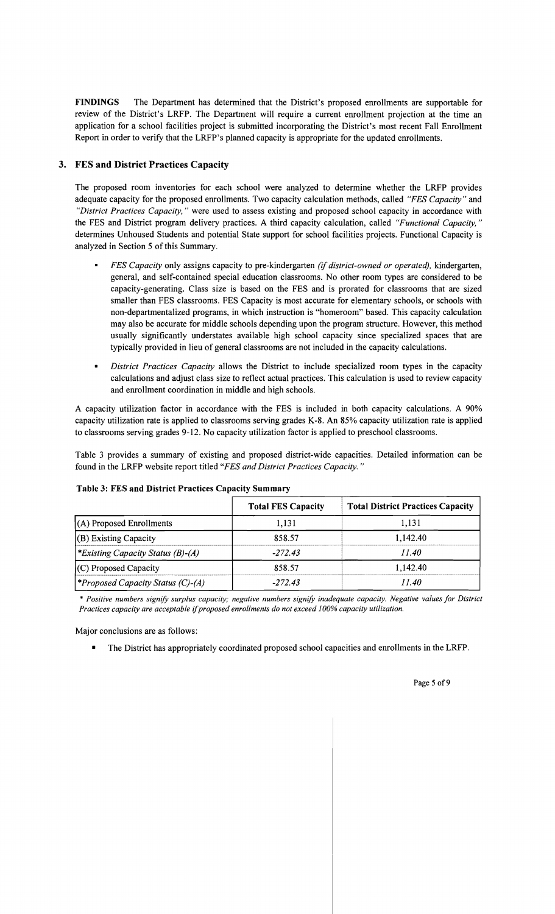FINDINGS The Department has determined that the District's proposed enrollments are supportable for review of the District's LRFP. The Department will require a current enrollment projection at the time an application for a school facilities project is submitted incorporating the District's most recent Fall Enrollment Report in order to verify that the LRFP's planned capacity is appropriate for the updated enrollments.

## 3. FES and District Practices Capacity

The proposed room inventories for each school were analyzed to determine whether the LRFP provides adequate capacity for the proposed enrollments. Two capacity calculation methods, called *"FES Capacity"* and *"District Practices Capacity,* " were used to assess existing and proposed school capacity in accordance with the FES and District program delivery practices. A third capacity calculation, called *"Functional Capacity, "*  determines Unhoused Students and potential State support for school facilities projects. Functional Capacity is analyzed in Section 5 of this Summary.

- *FES Capacity* only assigns capacity to pre-kindergarten *(if district-owned or operated),* kindergarten, general, and self-contained special education classrooms. No other room types are considered to be capacity-generating. Class size is based on the FES and is prorated for classrooms that are sized smaller than FES classrooms. FES Capacity is most accurate for elementary schools, or schools with non-departmentalized programs, in which instruction is "homeroom" based. This capacity calculation may also be accurate for middle schools depending upon the program structure. However, this method usually significantly understates available high school capacity since specialized spaces that are typically provided in lieu of general classrooms are not included in the capacity calculations.
- *District Practices Capacity* allows the District to include specialized room types in the capacity calculations and adjust class size to reflect actual practices. This calculation is used to review capacity and enrollment coordination in middle and high schools.

A capacity utilization factor in accordance with the FES is included in both capacity calculations. A 90% capacity utilization rate is applied to classrooms serving grades K-8. An 85% capacity utilization rate is applied to classrooms serving grades 9-12. No capacity utilization factor is applied to preschool classrooms.

Table 3 provides a summary of existing and proposed district-wide capacities. Detailed information can be found in the LRFP website report titled *"FES and District Practices Capacity. "* 

|                                         | <b>Total FES Capacity</b> | <b>Total District Practices Capacity</b> |
|-----------------------------------------|---------------------------|------------------------------------------|
| (A) Proposed Enrollments                | 1.131                     | 1.131                                    |
| $(B)$ Existing Capacity                 | 858.57                    | 1.142.40                                 |
| *Existing Capacity Status $(B)$ - $(A)$ | $-272.43$                 | 11.40                                    |
| $(C)$ Proposed Capacity                 | 858.57                    | 1.142.40                                 |
| Proposed Capacity Status (C)-(A)        | $-272.43$                 | 11.40                                    |

#### Table 3: FES and District Practices Capacity Summary

\* *Positive numbers signify surplus capacity; negative numbers signify inadequate capacity. Negative values for District Practices capacity are acceptable* if*proposed enrollments do not exceed 100% capacity utilization.* 

Major conclusions are as follows:

• The District has appropriately coordinated proposed school capacities and enrollments in the LRFP.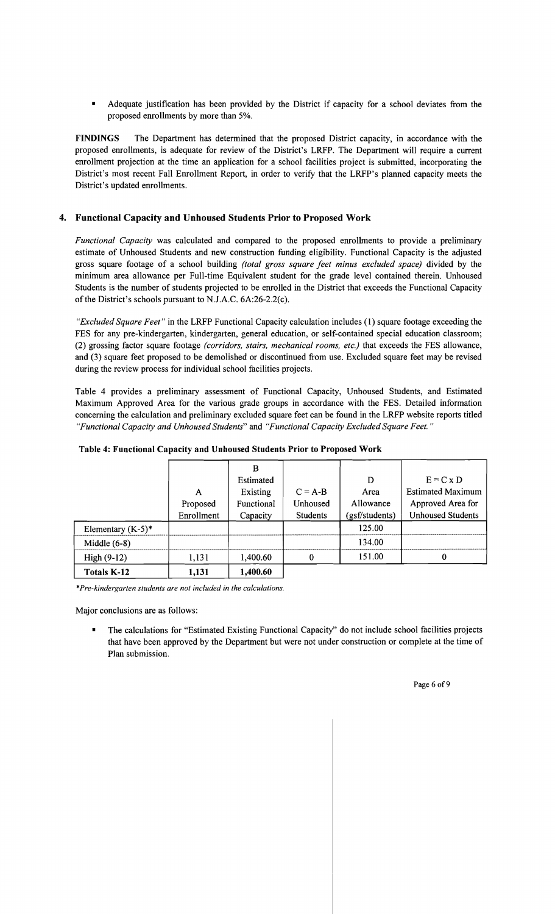Adequate justification has been provided by the District if capacity for a school deviates from the proposed enrollments by more than 5%.

**FINDINGS** The Department has determined that the proposed District capacity, in accordance with the proposed enrollments, is adequate for review of the District's LRFP. The Department will require a current enrollment projection at the time an application for a school facilities project is submitted, incorporating the District's most recent Fall Enrollment Report, in order to verify that the LRFP's planned capacity meets the District's updated enrollments.

## **4. Functional Capacity and Unhoused Students Prior to Proposed Work**

*Functional Capacity* was calculated and compared to the proposed enrollments to provide a preliminary estimate of Unhoused Students and new construction funding eligibility. Functional Capacity is the adjusted gross square footage of a school building *(total gross square feet minus excluded space)* divided by the minimum area allowance per Full-time Equivalent student for the grade level contained therein. Unhoused Students is the number of students projected to be enrolled in the District that exceeds the Functional Capacity of the District's schools pursuant to N.J.A.C. 6A:26-2.2(c).

*"Excluded Square Feet"* in the LRFP Functional Capacity calculation includes (1) square footage exceeding the FES for any pre-kindergarten, kindergarten, general education, or self-contained special education classroom; (2) grossing factor square footage *(corridors, stairs, mechanical rooms, etc.)* that exceeds the FES allowance, and (3) square feet proposed to be demolished or discontinued from use. Excluded square feet may be revised during the review process for individual school facilities projects.

Table 4 provides a preliminary assessment of Functional Capacity, Unhoused Students, and Estimated Maximum Approved Area for the various grade groups in accordance with the FES. Detailed information concerning the calculation and preliminary excluded square feet can be found in the LRFP website reports titled *"Functional Capacity and Unhoused Students"* and *"Functional Capacity Excluded Square Feet."* 

|                      |            | B          |                 |                |                          |
|----------------------|------------|------------|-----------------|----------------|--------------------------|
|                      |            | Estimated  |                 | D              | $E = C x D$              |
|                      | A          | Existing   | $C = A-B$       | Area           | <b>Estimated Maximum</b> |
|                      | Proposed   | Functional | Unhoused        | Allowance      | Approved Area for        |
|                      | Enrollment | Capacity   | <b>Students</b> | (gsf/students) | <b>Unhoused Students</b> |
| Elementary $(K-5)^*$ |            |            |                 | 125.00         |                          |
| Middle $(6-8)$       |            |            |                 | 134.00         |                          |
| High $(9-12)$        | 1,131      | 1,400.60   |                 | 151.00         |                          |
| <b>Totals K-12</b>   | 1,131      | 1,400.60   |                 |                |                          |

#### **Table 4: Functional Capacity and Unhoused Students Prior to Proposed Work**

*\*Pre-kindergarten students are not included in the calculations.* 

Major conclusions are as follows:

The calculations for "Estimated Existing Functional Capacity" do not include school facilities projects that have been approved by the Department but were not under construction or complete at the time of Plan submission.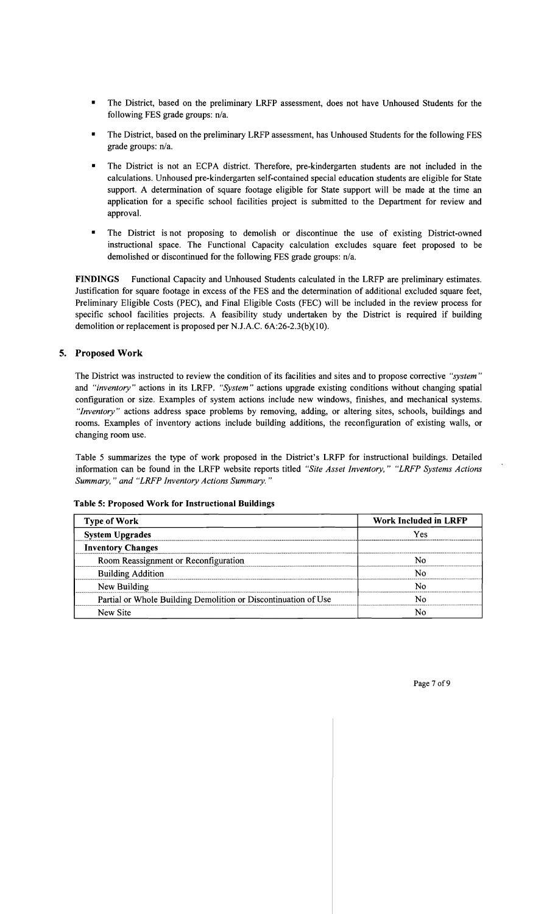- The District, based on the preliminary LRFP assessment, does not have Unhoused Students for the following FES grade groups: n/a.
- The District, based on the preliminary LRFP assessment, has Unhoused Students for the following FES grade groups: n/a.
- The District is not an ECPA district. Therefore, pre-kindergarten students are not included in the calculations. Unhoused pre-kindergarten self-contained special education students are eligible for State support. A determination of square footage eligible for State support will be made at the time an application for a specific school facilities project is submitted to the Department for review and approval.
- The District is not proposing to demolish or discontinue the use of existing District-owned instructional space. The Functional Capacity calculation excludes square feet proposed to be demolished or discontinued for the following FES grade groups: n/a.

**FINDINGS** Functional Capacity and Unhoused Students calculated in the LRFP are preliminary estimates. Justification for square footage in excess of the FES and the determination of additional excluded square feet, Preliminary Eligible Costs (PEC), and Final Eligible Costs (FEC) will be included in the review process for specific school facilities projects. A feasibility study undertaken by the District is required if building demolition or replacement is proposed per NJ.A.C. 6A:26-2.3(b)(10).

## **5. Proposed Work**

The District was instructed to review the condition of its facilities and sites and to propose corrective *"system"*  and *"inventory"* actions in its LRFP. *"System"* actions upgrade existing conditions without changing spatial configuration or size. Examples of system actions include new windows, finishes, and mechanical systems. *"Inventory"* actions address space problems by removing, adding, or altering sites, schools, buildings and rooms. Examples of inventory actions include building additions, the reconfiguration of existing walls, or changing room use.

Table 5 summarizes the type of work proposed in the District's LRFP for instructional buildings. Detailed information can be found in the LRFP website reports titled *"Site Asset Inventory," "LRFP Systems Actions Summary,* " *and "LRFP Inventory Actions Summary. "* 

#### **Table 5: Proposed Work for Instructional Buildings**

| <b>Type of Work</b>                                            | Work Included in LRFP |  |  |
|----------------------------------------------------------------|-----------------------|--|--|
| <b>System Upgrades</b>                                         | Yes                   |  |  |
| <b>Inventory Changes</b>                                       |                       |  |  |
| Room Reassignment or Reconfiguration                           | N٥                    |  |  |
| <b>Building Addition</b>                                       | N٥                    |  |  |
| New Building                                                   | N٥                    |  |  |
| Partial or Whole Building Demolition or Discontinuation of Use | N٥                    |  |  |
| New Site                                                       | Nο                    |  |  |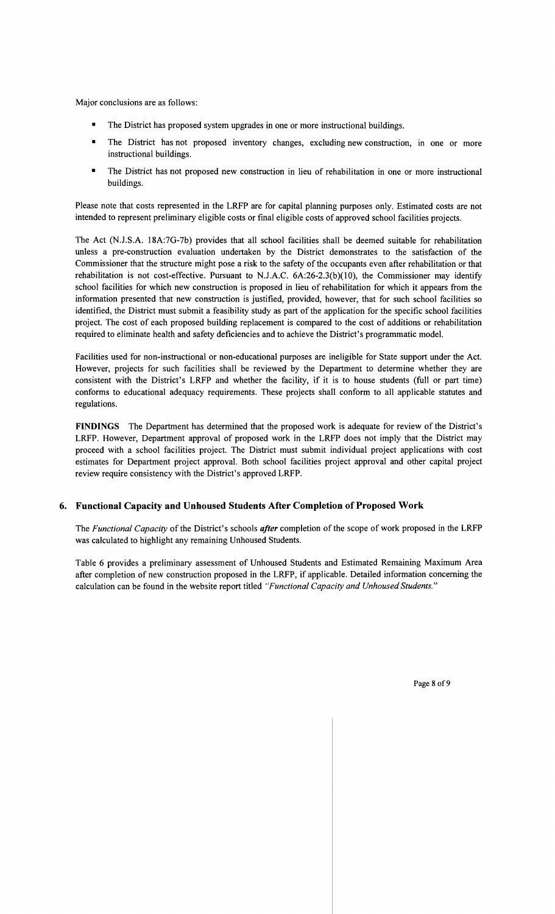Major conclusions are as follows:

- The District has proposed system upgrades in one or more instructional buildings.
- The District has not proposed inventory changes, excluding new construction, in one or more instructional buildings.
- The District has not proposed new construction in lieu of rehabilitation in one or more instructional buildings.

Please note that costs represented in the LRFP are for capital planning purposes only. Estimated costs are not intended to represent preliminary eligible costs or final eligible costs of approved school facilities projects.

The Act (N.J.S.A. 18A:7G-7b) provides that all school facilities shall be deemed suitable for rehabilitation unless a pre-construction evaluation undertaken by the District demonstrates to the satisfaction of the Commissioner that the structure might pose a risk to the safety of the occupants even after rehabilitation or that rehabilitation is not cost-effective. Pursuant to N.J.A.C. 6A:26-2.3(b)(10), the Commissioner may identify school facilities for which new construction is proposed in lieu of rehabilitation for which it appears from the information presented that new construction is justified, provided, however, that for such school facilities so identified, the District must submit a feasibility study as part of the application for the specific school facilities project. The cost of each proposed building replacement is compared to the cost of additions or rehabilitation required to eliminate health and safety deficiencies and to achieve the District's programmatic model.

Facilities used for non-instructional or non-educational purposes are ineligible for State support under the Act. However, projects for such facilities shall be reviewed by the Department to determine whether they are consistent with the District's LRFP and whether the facility, if it is to house students (full or part time) conforms to educational adequacy requirements. These projects shall conform to all applicable statutes and regulations.

FINDINGS The Department has determined that the proposed work is adequate for review of the District's LRFP. However, Department approval of proposed work in the LRFP does not imply that the District may proceed with a school facilities project. The District must submit individual project applications with cost estimates for Department project approval. Both school facilities project approval and other capital project review require consistency with the District's approved LRFP.

## 6. Functional Capacity and Unhoused Students After Completion of Proposed Work

The *Functional Capacity* of the District's schools *after* completion of the scope of work proposed in the LRFP was calculated to highlight any remaining Unhoused Students.

Table 6 provides a preliminary assessment of Unhoused Students and Estimated Remaining Maximum Area after completion of new construction proposed in the LRFP, if applicable. Detailed information concerning the calculation can be found in the website report titled *"Functional Capacity and Unhoused Students."*